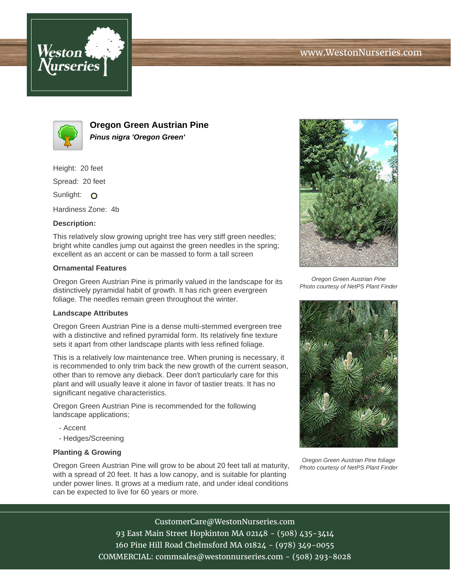



**Oregon Green Austrian Pine Pinus nigra 'Oregon Green'**

Height: 20 feet

Spread: 20 feet

Sunlight: O

Hardiness Zone: 4b

## **Description:**

This relatively slow growing upright tree has very stiff green needles; bright white candles jump out against the green needles in the spring; excellent as an accent or can be massed to form a tall screen

## **Ornamental Features**

Oregon Green Austrian Pine is primarily valued in the landscape for its distinctively pyramidal habit of growth. It has rich green evergreen foliage. The needles remain green throughout the winter.

## **Landscape Attributes**

Oregon Green Austrian Pine is a dense multi-stemmed evergreen tree with a distinctive and refined pyramidal form. Its relatively fine texture sets it apart from other landscape plants with less refined foliage.

This is a relatively low maintenance tree. When pruning is necessary, it is recommended to only trim back the new growth of the current season, other than to remove any dieback. Deer don't particularly care for this plant and will usually leave it alone in favor of tastier treats. It has no significant negative characteristics.

Oregon Green Austrian Pine is recommended for the following landscape applications;

- Accent
- Hedges/Screening

## **Planting & Growing**

Oregon Green Austrian Pine will grow to be about 20 feet tall at maturity, with a spread of 20 feet. It has a low canopy, and is suitable for planting under power lines. It grows at a medium rate, and under ideal conditions can be expected to live for 60 years or more.



Oregon Green Austrian Pine Photo courtesy of NetPS Plant Finder



Oregon Green Austrian Pine foliage Photo courtesy of NetPS Plant Finder

CustomerCare@WestonNurseries.com 93 East Main Street Hopkinton MA 02148 - (508) 435-3414 160 Pine Hill Road Chelmsford MA 01824 - (978) 349-0055 COMMERCIAL: commsales@westonnurseries.com - (508) 293-8028